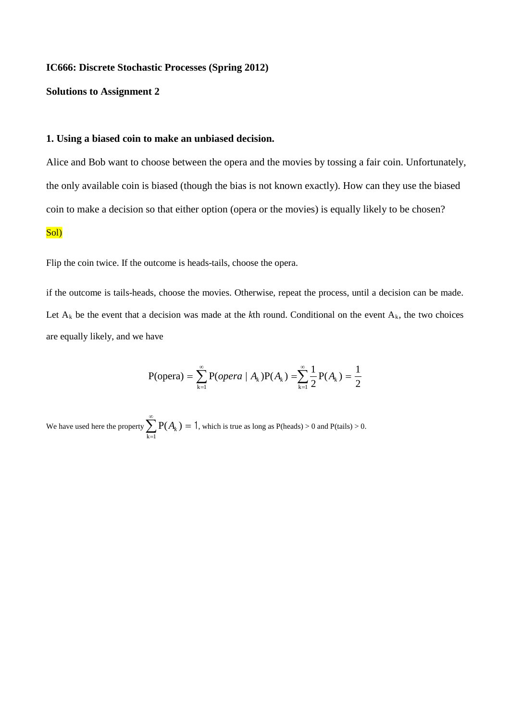### **IC666: Discrete Stochastic Processes (Spring 2012)**

## **Solutions to Assignment 2**

## **1. Using a biased coin to make an unbiased decision.**

Alice and Bob want to choose between the opera and the movies by tossing a fair coin. Unfortunately, the only available coin is biased (though the bias is not known exactly). How can they use the biased coin to make a decision so that either option (opera or the movies) is equally likely to be chosen?

#### Sol)

Flip the coin twice. If the outcome is heads-tails, choose the opera.

if the outcome is tails-heads, choose the movies. Otherwise, repeat the process, until a decision can be made. Let  $A_k$  be the event that a decision was made at the  $k$ th round. Conditional on the event  $A_k$ , the two choices are equally likely, and we have

$$
P(opena) = \sum_{k=1}^{\infty} P(opena / A_k)P(A_k) = \sum_{k=1}^{\infty} \frac{1}{2}P(A_k) = \frac{1}{2}
$$

We have used here the property  $\sum^{\infty}$ = =  $k = 1$  $P(A_k) = 1$ , which is true as long as  $P(\text{heads}) > 0$  and  $P(\text{tails}) > 0$ .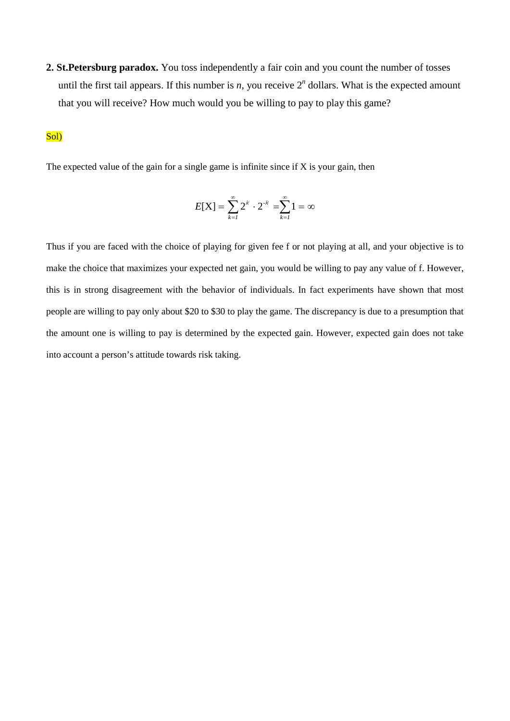**2. St.Petersburg paradox.** You toss independently a fair coin and you count the number of tosses until the first tail appears. If this number is  $n$ , you receive  $2<sup>n</sup>$  dollars. What is the expected amount that you will receive? How much would you be willing to pay to play this game?

# Sol)

The expected value of the gain for a single game is infinite since if  $X$  is your gain, then

$$
E[X] = \sum_{k=1}^{\infty} 2^k \cdot 2^{-k} = \sum_{k=1}^{\infty} 1 = \infty
$$

Thus if you are faced with the choice of playing for given fee f or not playing at all, and your objective is to make the choice that maximizes your expected net gain, you would be willing to pay any value of f. However, this is in strong disagreement with the behavior of individuals. In fact experiments have shown that most people are willing to pay only about \$20 to \$30 to play the game. The discrepancy is due to a presumption that the amount one is willing to pay is determined by the expected gain. However, expected gain does not take into account a person's attitude towards risk taking.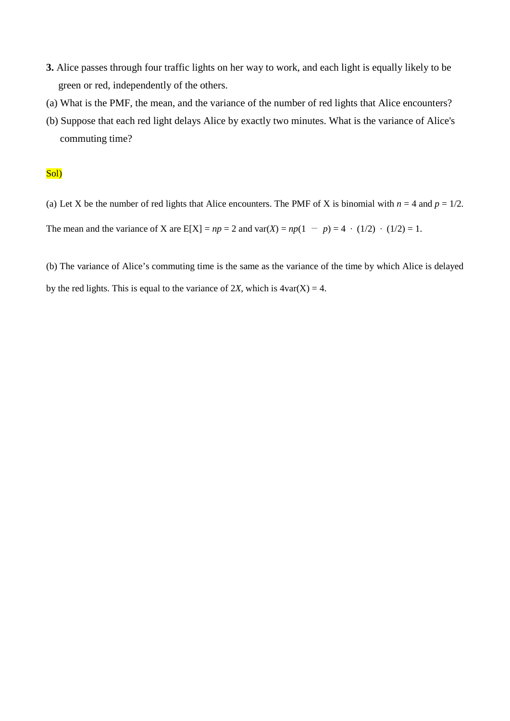- **3.** Alice passes through four traffic lights on her way to work, and each light is equally likely to be green or red, independently of the others.
- (a) What is the PMF, the mean, and the variance of the number of red lights that Alice encounters?
- (b) Suppose that each red light delays Alice by exactly two minutes. What is the variance of Alice's commuting time?

## Sol)

(a) Let X be the number of red lights that Alice encounters. The PMF of X is binomial with  $n = 4$  and  $p = 1/2$ .

The mean and the variance of X are  $E[X] = np = 2$  and  $var(X) = np(1 - p) = 4 \cdot (1/2) \cdot (1/2) = 1$ .

(b) The variance of Alice's commuting time is the same as the variance of the time by which Alice is delayed by the red lights. This is equal to the variance of 2*X*, which is  $4\text{var}(X) = 4$ .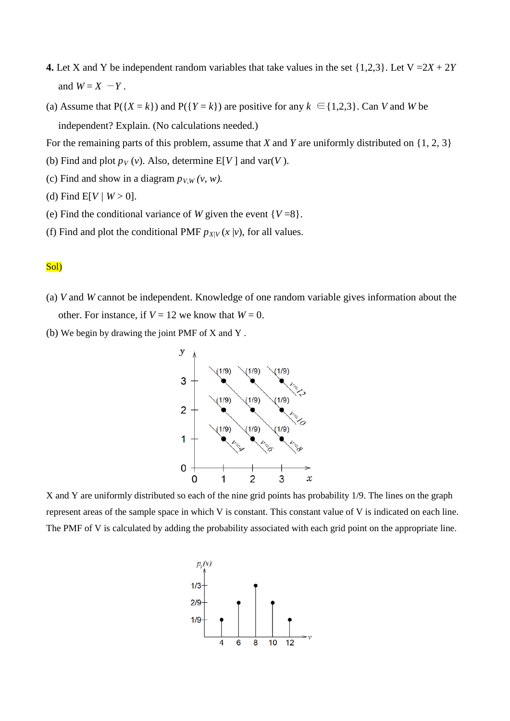- **4.** Let X and Y be independent random variables that take values in the set  $\{1,2,3\}$ . Let  $V = 2X + 2Y$ and  $W = X - Y$ .
- (a) Assume that  $P({X = k})$  and  $P({Y = k})$  are positive for any  $k \in {1,2,3}$ . Can *V* and *W* be independent? Explain. (No calculations needed.)

For the remaining parts of this problem, assume that *X* and *Y* are uniformly distributed on {1, 2, 3}

- (b) Find and plot  $p_V(v)$ . Also, determine E[V] and var(*V*).
- (c) Find and show in a diagram  $p_{V,W}(v, w)$ .
- (d) Find  $E[V/W > 0]$ .
- (e) Find the conditional variance of *W* given the event  $\{V=8\}$ .
- (f) Find and plot the conditional PMF  $p_{X/V}(x | v)$ , for all values.

### Sol)

- (a) *V* and *W* cannot be independent. Knowledge of one random variable gives information about the other. For instance, if  $V = 12$  we know that  $W = 0$ .
- (b) We begin by drawing the joint PMF of X and Y .



X and Y are uniformly distributed so each of the nine grid points has probability 1/9. The lines on the graph represent areas of the sample space in which V is constant. This constant value of V is indicated on each line. The PMF of V is calculated by adding the probability associated with each grid point on the appropriate line.

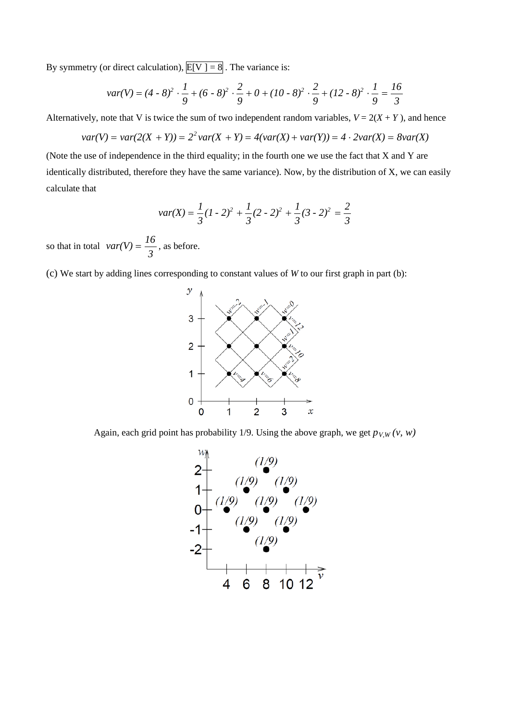By symmetry (or direct calculation),  $E[V] = 8$ . The variance is:

$$
var(V) = (4 \cdot 8)^2 \cdot \frac{1}{9} + (6 \cdot 8)^2 \cdot \frac{2}{9} + 0 + (10 \cdot 8)^2 \cdot \frac{2}{9} + (12 \cdot 8)^2 \cdot \frac{1}{9} = \frac{16}{3}
$$

Alternatively, note that V is twice the sum of two independent random variables,  $V = 2(X + Y)$ , and hence

$$
var(V) = var(2(X + Y)) = 2^2 var(X + Y) = 4(var(X) + var(Y)) = 4 \cdot 2var(X) = 8var(X)
$$

(Note the use of independence in the third equality; in the fourth one we use the fact that X and Y are identically distributed, therefore they have the same variance). Now, by the distribution of X, we can easily calculate that

$$
var(X) = \frac{1}{3}(1-2)^2 + \frac{1}{3}(2-2)^2 + \frac{1}{3}(3-2)^2 = \frac{2}{3}
$$

so that in total *3*  $var(V) = \frac{16}{2}$ , as before.

(c) We start by adding lines corresponding to constant values of *W* to our first graph in part (b):



Again, each grid point has probability 1/9. Using the above graph, we get  $p_{V,W}(v, w)$ 

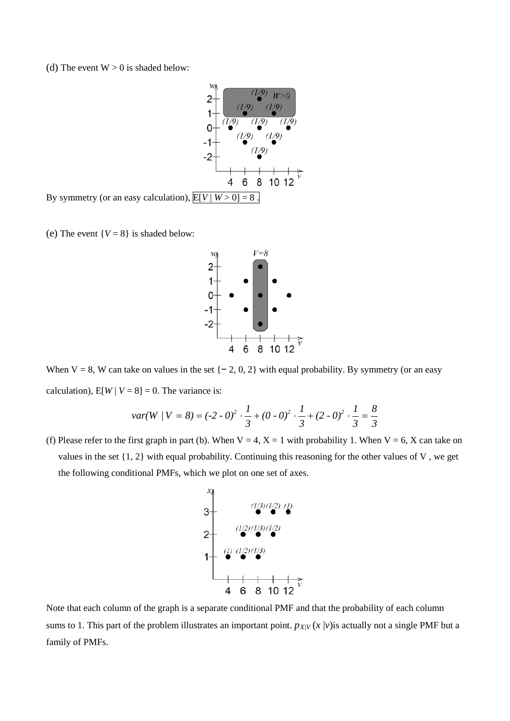(d) The event  $W > 0$  is shaded below:



By symmetry (or an easy calculation),  $E[V|W>0] = 8$ .

(e) The event  $\{V = 8\}$  is shaded below:



When V = 8, W can take on values in the set  $\{-2, 0, 2\}$  with equal probability. By symmetry (or an easy calculation),  $E[W | V = 8] = 0$ . The variance is:

$$
var(W / V = 8) = (-2 - 0)^2 \cdot \frac{1}{3} + (0 - 0)^2 \cdot \frac{1}{3} + (2 - 0)^2 \cdot \frac{1}{3} = \frac{8}{3}
$$

(f) Please refer to the first graph in part (b). When  $V = 4$ ,  $X = 1$  with probability 1. When  $V = 6$ , X can take on values in the set {1, 2} with equal probability. Continuing this reasoning for the other values of V , we get the following conditional PMFs, which we plot on one set of axes.



Note that each column of the graph is a separate conditional PMF and that the probability of each column sums to 1. This part of the problem illustrates an important point.  $p_{X/V}(x | v)$  is actually not a single PMF but a family of PMFs.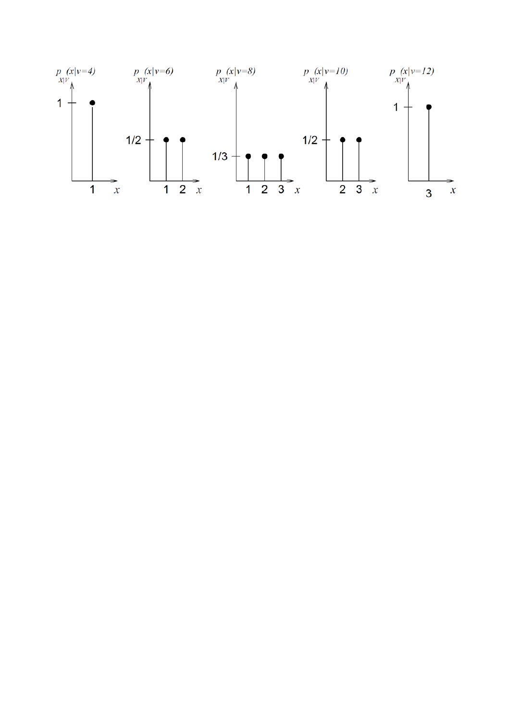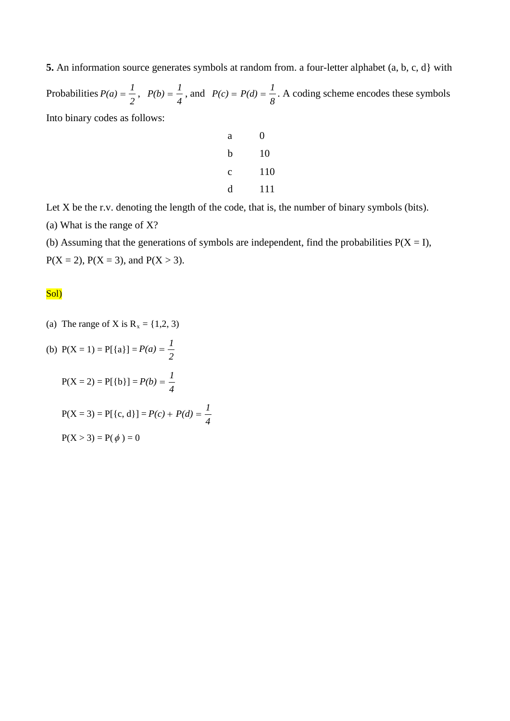**5.** An information source generates symbols at random from. a four-letter alphabet (a, b, c, d} with Probabilities  $P(a) = \frac{1}{2}$ ,  $P(b) = \frac{1}{4}$ , and  $P(c) = P(d) = \frac{1}{8}$ . A coding scheme encodes these symbols Into binary codes as follows:

| а | 0   |
|---|-----|
| b | 10  |
| c | 110 |
| d | 111 |

Let X be the r.v. denoting the length of the code, that is, the number of binary symbols (bits). (a) What is the range of X?

(b) Assuming that the generations of symbols are independent, find the probabilities  $P(X = I)$ ,  $P(X = 2)$ ,  $P(X = 3)$ , and  $P(X > 3)$ .

## Sol)

(a) The range of X is  $R_x = \{1, 2, 3\}$ 

(b) 
$$
P(X = 1) = P[{a}] = P(a) = \frac{1}{2}
$$
  
\n $P(X = 2) = P[{b}] = P(b) = \frac{1}{4}$   
\n $P(X = 3) = P[{c, d}] = P(c) + P(d) = \frac{1}{4}$   
\n $P(X > 3) = P(\phi) = 0$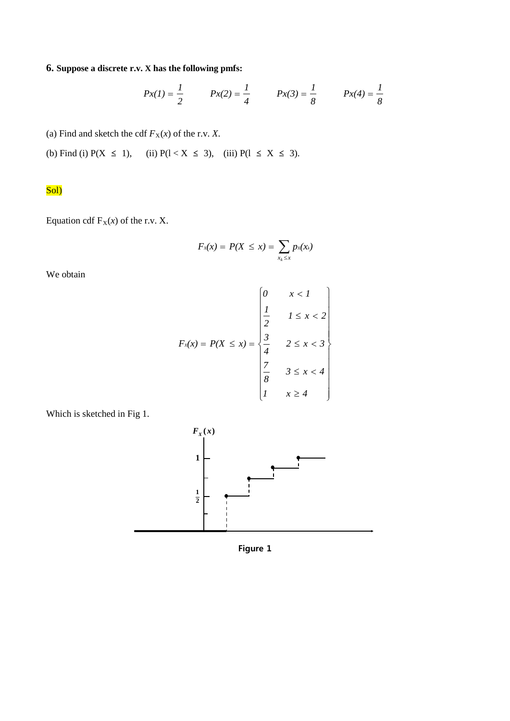**6. Suppose a discrete r.v. X has the following pmfs:**

$$
Px(1) = \frac{1}{2}
$$
  $Px(2) = \frac{1}{4}$   $Px(3) = \frac{1}{8}$   $Px(4) = \frac{1}{8}$ 

(a) Find and sketch the cdf  $F_X(x)$  of the r.v. *X*.

(b) Find (i)  $P(X \le 1)$ , (ii)  $P(1 < X \le 3)$ , (iii)  $P(1 \le X \le 3)$ .

Sol)

Equation cdf  $F_X(x)$  of the r.v. X.

$$
F_x(x) = P(X \leq x) = \sum_{x_k \leq x} p_x(x_k)
$$

We obtain

$$
F_x(x) = P(X \le x) = \begin{cases} 0 & x < 1 \\ \frac{1}{2} & 1 \le x < 2 \\ \frac{3}{4} & 2 \le x < 3 \\ \frac{7}{8} & 3 \le x < 4 \\ 1 & x \ge 4 \end{cases}
$$



Which is sketched in Fig 1.

**Figure 1**